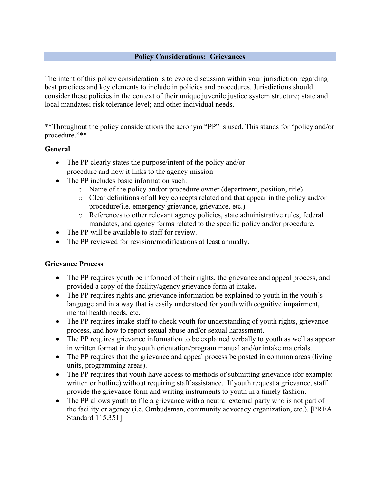#### **Policy Considerations: Grievances**

The intent of this policy consideration is to evoke discussion within your jurisdiction regarding best practices and key elements to include in policies and procedures. Jurisdictions should consider these policies in the context of their unique juvenile justice system structure; state and local mandates; risk tolerance level; and other individual needs.

\*\*Throughout the policy considerations the acronym "PP" is used. This stands for "policy and/or procedure."\*\*

### **General**

- The PP clearly states the purpose/intent of the policy and/or procedure and how it links to the agency mission
- The PP includes basic information such:
	- o Name of the policy and/or procedure owner (department, position, title)
	- o Clear definitions of all key concepts related and that appear in the policy and/or procedure(i.e. emergency grievance, grievance, etc.)
	- o References to other relevant agency policies, state administrative rules, federal mandates, and agency forms related to the specific policy and/or procedure.
- The PP will be available to staff for review.
- The PP reviewed for revision/modifications at least annually.

### **Grievance Process**

- The PP requires youth be informed of their rights, the grievance and appeal process, and provided a copy of the facility/agency grievance form at intake**.**
- The PP requires rights and grievance information be explained to youth in the youth's language and in a way that is easily understood for youth with cognitive impairment, mental health needs, etc.
- The PP requires intake staff to check youth for understanding of youth rights, grievance process, and how to report sexual abuse and/or sexual harassment.
- The PP requires grievance information to be explained verbally to youth as well as appear in written format in the youth orientation/program manual and/or intake materials.
- The PP requires that the grievance and appeal process be posted in common areas (living units, programming areas).
- The PP requires that youth have access to methods of submitting grievance (for example: written or hotline) without requiring staff assistance. If youth request a grievance, staff provide the grievance form and writing instruments to youth in a timely fashion.
- The PP allows youth to file a grievance with a neutral external party who is not part of the facility or agency (i.e. Ombudsman, community advocacy organization, etc.). [PREA Standard 115.351]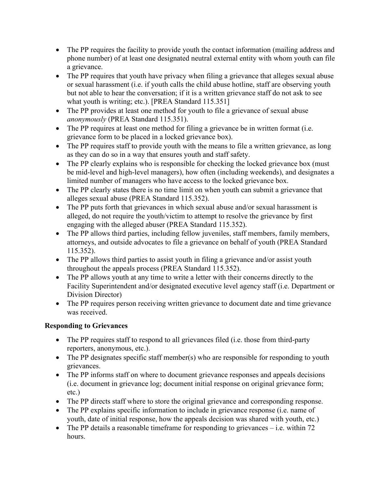- The PP requires the facility to provide youth the contact information (mailing address and phone number) of at least one designated neutral external entity with whom youth can file a grievance.
- The PP requires that youth have privacy when filing a grievance that alleges sexual abuse or sexual harassment (i.e. if youth calls the child abuse hotline, staff are observing youth but not able to hear the conversation; if it is a written grievance staff do not ask to see what youth is writing; etc.). [PREA Standard 115.351]
- The PP provides at least one method for youth to file a grievance of sexual abuse *anonymously* (PREA Standard 115.351).
- The PP requires at least one method for filing a grievance be in written format (i.e. grievance form to be placed in a locked grievance box).
- The PP requires staff to provide youth with the means to file a written grievance, as long as they can do so in a way that ensures youth and staff safety.
- The PP clearly explains who is responsible for checking the locked grievance box (must be mid-level and high-level managers), how often (including weekends), and designates a limited number of managers who have access to the locked grievance box.
- The PP clearly states there is no time limit on when youth can submit a grievance that alleges sexual abuse (PREA Standard 115.352).
- The PP puts forth that grievances in which sexual abuse and/or sexual harassment is alleged, do not require the youth/victim to attempt to resolve the grievance by first engaging with the alleged abuser (PREA Standard 115.352).
- The PP allows third parties, including fellow juveniles, staff members, family members, attorneys, and outside advocates to file a grievance on behalf of youth (PREA Standard 115.352).
- The PP allows third parties to assist youth in filing a grievance and/or assist youth throughout the appeals process (PREA Standard 115.352).
- The PP allows youth at any time to write a letter with their concerns directly to the Facility Superintendent and/or designated executive level agency staff (i.e. Department or Division Director)
- The PP requires person receiving written grievance to document date and time grievance was received.

# **Responding to Grievances**

- The PP requires staff to respond to all grievances filed (i.e. those from third-party reporters, anonymous, etc.).
- The PP designates specific staff member(s) who are responsible for responding to youth grievances.
- The PP informs staff on where to document grievance responses and appeals decisions (i.e. document in grievance log; document initial response on original grievance form; etc.)
- The PP directs staff where to store the original grievance and corresponding response.
- The PP explains specific information to include in grievance response (i.e. name of youth, date of initial response, how the appeals decision was shared with youth, etc.)
- The PP details a reasonable time frame for responding to grievances  $-$  i.e. within 72 hours.